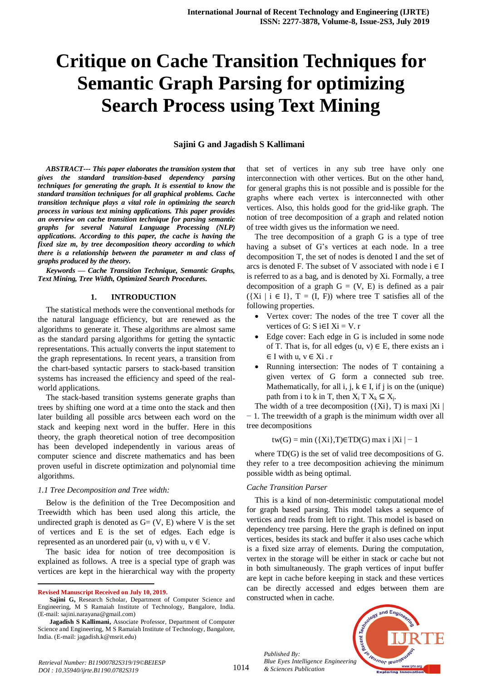# **Critique on Cache Transition Techniques for Semantic Graph Parsing for optimizing Search Process using Text Mining**

## **Sajini G and Jagadish S Kallimani**

*ABSTRACT--- This paper elaborates the transition system that gives the standard transition-based dependency parsing techniques for generating the graph. It is essential to know the standard transition techniques for all graphical problems. Cache transition technique plays a vital role in optimizing the search process in various text mining applications. This paper provides an overview on cache transition technique for parsing semantic graphs for several Natural Language Processing (NLP) applications. According to this paper, the cache is having the fixed size m, by tree decomposition theory according to which there is a relationship between the parameter m and class of graphs produced by the theory.*

*Keywords — Cache Transition Technique, Semantic Graphs, Text Mining, Tree Width, Optimized Search Procedures.*

## **1. INTRODUCTION**

The statistical methods were the conventional methods for the natural language efficiency, but are renewed as the algorithms to generate it. These algorithms are almost same as the standard parsing algorithms for getting the syntactic representations. This actually converts the input statement to the graph representations. In recent years, a transition from the chart-based syntactic parsers to stack-based transition systems has increased the efficiency and speed of the realworld applications.

The stack-based transition systems generate graphs than trees by shifting one word at a time onto the stack and then later building all possible arcs between each word on the stack and keeping next word in the buffer. Here in this theory, the graph theoretical notion of tree decomposition has been developed independently in various areas of computer science and discrete mathematics and has been proven useful in discrete optimization and polynomial time algorithms.

### *1.1 Tree Decomposition and Tree width:*

Below is the definition of the Tree Decomposition and Treewidth which has been used along this article, the undirected graph is denoted as  $G = (V, E)$  where V is the set of vertices and E is the set of edges. Each edge is represented as an unordered pair  $(u, v)$  with  $u, v \in V$ .

The basic idea for notion of tree decomposition is explained as follows. A tree is a special type of graph was vertices are kept in the hierarchical way with the property

 $\overline{a}$ 

that set of vertices in any sub tree have only one interconnection with other vertices. But on the other hand, for general graphs this is not possible and is possible for the graphs where each vertex is interconnected with other vertices. Also, this holds good for the grid-like graph. The notion of tree decomposition of a graph and related notion of tree width gives us the information we need.

The tree decomposition of a graph G is a type of tree having a subset of G's vertices at each node. In a tree decomposition T, the set of nodes is denoted I and the set of arcs is denoted F. The subset of V associated with node  $i \in I$ is referred to as a bag, and is denoted by Xi. Formally, a tree decomposition of a graph  $G = (V, E)$  is defined as a pair  $({Xi \mid i \in I}, T = (I, F))$  where tree T satisfies all of the following properties.

- Vertex cover: The nodes of the tree T cover all the vertices of G:  $S$  i∈I  $Xi = V$ . r
- Edge cover: Each edge in G is included in some node of T. That is, for all edges  $(u, v) \in E$ , there exists an i  $\in$  I with u,  $v \in$  Xi. r
- Running intersection: The nodes of T containing a given vertex of G form a connected sub tree. Mathematically, for all i, j,  $k \in I$ , if j is on the (unique) path from i to k in T, then  $X_i$  T  $X_k \subseteq X_j$ .

The width of a tree decomposition  $({Xi}, T)$  is maxi |Xi | − 1. The treewidth of a graph is the minimum width over all tree decompositions

$$
tw(G) = min (\{Xi\}, T) \in TD(G) \text{ max } i |Xi| - 1
$$

where TD(G) is the set of valid tree decompositions of G. they refer to a tree decomposition achieving the minimum possible width as being optimal.

## *Cache Transition Parser*

This is a kind of non-deterministic computational model for graph based parsing. This model takes a sequence of vertices and reads from left to right. This model is based on dependency tree parsing. Here the graph is defined on input vertices, besides its stack and buffer it also uses cache which is a fixed size array of elements. During the computation, vertex in the storage will be either in stack or cache but not in both simultaneously. The graph vertices of input buffer are kept in cache before keeping in stack and these vertices can be directly accessed and edges between them are constructed when in cache.

*Published By: Blue Eyes Intelligence Engineering & Sciences Publication*



**Revised Manuscript Received on July 10, 2019.**

**Sajini G,** Research Scholar, Department of Computer Science and Engineering, M S Ramaiah Institute of Technology, Bangalore, India. (E-mail: sajini.narayana@gmail.com)

**Jagadish S Kallimani,** Associate Professor, Department of Computer Science and Engineering, M S Ramaiah Institute of Technology, Bangalore, India. (E-mail: jagadish.k@msrit.edu)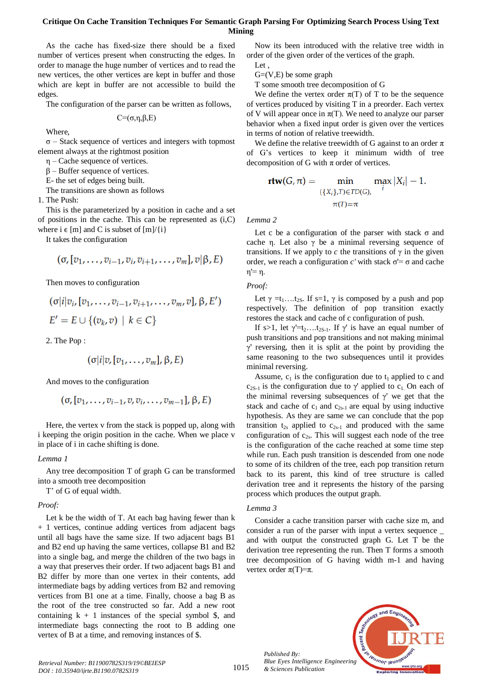## **Critique On Cache Transition Techniques For Semantic Graph Parsing For Optimizing Search Process Using Text Mining**

As the cache has fixed-size there should be a fixed number of vertices present when constructing the edges. In order to manage the huge number of vertices and to read the new vertices, the other vertices are kept in buffer and those which are kept in buffer are not accessible to build the edges.

The configuration of the parser can be written as follows,

$$
C\text{=}\!\left(\sigma,\!\eta,\!\beta,\!E\right)
$$

Where,

σ – Stack sequence of vertices and integers with topmost element always at the rightmost position

η – Cache sequence of vertices.

 $β$  – Buffer sequence of vertices.

E- the set of edges being built.

The transitions are shown as follows

1. The Push:

This is the parameterized by a position in cache and a set of positions in the cache. This can be represented as  $(i, C)$ where  $i \in [m]$  and C is subset of  $[m]/\{i\}$ 

It takes the configuration

$$
(\sigma, [v_1,\ldots,v_{i-1},v_i,v_{i+1},\ldots,v_m],v|\beta,E)
$$

Then moves to configuration

$$
(\sigma|i|v_i, [v_1,\ldots,v_{i-1},v_{i+1},\ldots,v_m,v], \beta, E')
$$
  

$$
E' = E \cup \{(v_k,v) \mid k \in C\}
$$

2. The Pop :

$$
(\sigma|i|v,[v_1,\ldots,v_m],\beta,E)
$$

And moves to the configuration

$$
(\sigma, [\sigma_1,\ldots,\sigma_{i-1},\sigma,\sigma_i,\ldots,\sigma_{m-1}], \beta, E)
$$

Here, the vertex v from the stack is popped up, along with i keeping the origin position in the cache. When we place v in place of i in cache shifting is done.

### *Lemma 1*

Any tree decomposition T of graph G can be transformed into a smooth tree decomposition

T' of G of equal width.

#### *Proof:*

Let k be the width of T. At each bag having fewer than k + 1 vertices, continue adding vertices from adjacent bags until all bags have the same size. If two adjacent bags B1 and B2 end up having the same vertices, collapse B1 and B2 into a single bag, and merge the children of the two bags in a way that preserves their order. If two adjacent bags B1 and B2 differ by more than one vertex in their contents, add intermediate bags by adding vertices from B2 and removing vertices from B1 one at a time. Finally, choose a bag B as the root of the tree constructed so far. Add a new root containing  $k + 1$  instances of the special symbol \$, and intermediate bags connecting the root to B adding one vertex of B at a time, and removing instances of \$.

Now its been introduced with the relative tree width in order of the given order of the vertices of the graph.

Let ,

 $G=(V,E)$  be some graph

T some smooth tree decomposition of G

We define the vertex order  $\pi(T)$  of T to be the sequence of vertices produced by visiting T in a preorder. Each vertex of V will appear once in  $\pi(T)$ . We need to analyze our parser behavior when a fixed input order is given over the vertices in terms of notion of relative treewidth.

We define the relative treewidth of G against to an order  $\pi$ of G's vertices to keep it minimum width of tree decomposition of G with  $\pi$  order of vertices.

$$
\mathbf{rtw}(G,\pi) = \min_{\substack{\{X_i\}, T \in TD(G),\\ \pi(T) = \pi}} \max_i |X_i| - 1.
$$

*Lemma 2*

Let c be a configuration of the parser with stack  $\sigma$  and cache η. Let also γ be a minimal reversing sequence of transitions. If we apply to  $c$  the transitions of  $\gamma$  in the given order, we reach a configuration *c'* with stack  $σ' = σ$  and cache η'= η.

*Proof:*

Let  $\gamma = t_1 \dots t_{2S}$ . If s=1,  $\gamma$  is composed by a push and pop respectively. The definition of pop transition exactly restores the stack and cache of c configuration of push.

If s>1, let  $\gamma' = t_2 \dots t_{2S-1}$ . If  $\gamma'$  is have an equal number of push transitions and pop transitions and not making minimal γ' reversing, then it is split at the point by providing the same reasoning to the two subsequences until it provides minimal reversing.

Assume,  $c_1$  is the configuration due to  $t_1$  applied to c and  $c_{2S-1}$  is the configuration due to γ' applied to  $c_1$ . On each of the minimal reversing subsequences of  $\gamma'$  we get that the stack and cache of  $c_1$  and  $c_{2s-1}$  are equal by using inductive hypothesis. As they are same we can conclude that the pop transition  $t_{2s}$  applied to  $c_{2s-1}$  and produced with the same configuration of  $c_{2s}$ . This will suggest each node of the tree is the configuration of the cache reached at some time step while run. Each push transition is descended from one node to some of its children of the tree, each pop transition return back to its parent, this kind of tree structure is called derivation tree and it represents the history of the parsing process which produces the output graph.

## *Lemma 3*

Consider a cache transition parser with cache size m, and consider a run of the parser with input a vertex sequence \_ and with output the constructed graph G. Let T be the derivation tree representing the run. Then T forms a smooth tree decomposition of G having width m-1 and having vertex order  $\pi(T)=\pi$ .



*Published By:*

*& Sciences Publication*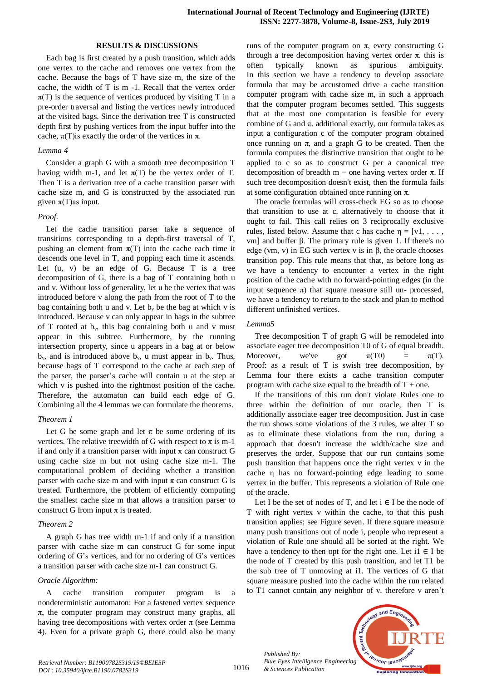## **RESULTS & DISCUSSIONS**

Each bag is first created by a push transition, which adds one vertex to the cache and removes one vertex from the cache. Because the bags of T have size m, the size of the cache, the width of T is m -1. Recall that the vertex order  $\pi(T)$  is the sequence of vertices produced by visiting T in a pre-order traversal and listing the vertices newly introduced at the visited bags. Since the derivation tree T is constructed depth first by pushing vertices from the input buffer into the cache,  $\pi(T)$  is exactly the order of the vertices in  $\pi$ .

## *Lemma 4*

Consider a graph G with a smooth tree decomposition T having width m-1, and let  $\pi(T)$  be the vertex order of T. Then T is a derivation tree of a cache transition parser with cache size m, and G is constructed by the associated run given  $\pi(T)$ as input.

#### *Proof.*

Let the cache transition parser take a sequence of transitions corresponding to a depth-first traversal of T, pushing an element from  $\pi(T)$  into the cache each time it descends one level in T, and popping each time it ascends. Let (u, v) be an edge of G. Because T is a tree decomposition of G, there is a bag of T containing both u and v. Without loss of generality, let u be the vertex that was introduced before v along the path from the root of T to the bag containing both u and v. Let  $b_v$  be the bag at which v is introduced. Because v can only appear in bags in the subtree of T rooted at  $b_v$ , this bag containing both u and v must appear in this subtree. Furthermore, by the running intersection property, since u appears in a bag at or below  $b_v$ , and is introduced above  $b_v$ , u must appear in  $b_v$ . Thus, because bags of T correspond to the cache at each step of the parser, the parser's cache will contain u at the step at which v is pushed into the rightmost position of the cache. Therefore, the automaton can build each edge of G. Combining all the 4 lemmas we can formulate the theorems.

## *Theorem 1*

Let G be some graph and let  $\pi$  be some ordering of its vertices. The relative treewidth of G with respect to  $\pi$  is m-1 if and only if a transition parser with input  $\pi$  can construct G using cache size m but not using cache size m-1. The computational problem of deciding whether a transition parser with cache size m and with input  $\pi$  can construct G is treated. Furthermore, the problem of efficiently computing the smallest cache size m that allows a transition parser to construct G from input  $\pi$  is treated.

#### *Theorem 2*

A graph G has tree width m-1 if and only if a transition parser with cache size m can construct G for some input ordering of G's vertices, and for no ordering of G's vertices a transition parser with cache size m-1 can construct G.

#### *Oracle Algorithm:*

A cache transition computer program is a nondeterministic automaton: For a fastened vertex sequence  $\pi$ , the computer program may construct many graphs, all having tree decompositions with vertex order  $\pi$  (see Lemma 4). Even for a private graph G, there could also be many runs of the computer program on π, every constructing G through a tree decomposition having vertex order  $\pi$ , this is often typically known as spurious ambiguity. In this section we have a tendency to develop associate formula that may be accustomed drive a cache transition computer program with cache size m, in such a approach that the computer program becomes settled. This suggests that at the most one computation is feasible for every combine of G and  $\pi$ . additional exactly, our formula takes as input a configuration c of the computer program obtained once running on  $\pi$ , and a graph G to be created. Then the formula computes the distinctive transition that ought to be applied to c so as to construct G per a canonical tree decomposition of breadth m – one having vertex order π. If such tree decomposition doesn't exist, then the formula fails at some configuration obtained once running on π.

The oracle formulas will cross-check EG so as to choose that transition to use at c, alternatively to choose that it ought to fail. This call relies on 3 reciprocally exclusive rules, listed below. Assume that c has cache  $\eta = [v1, \ldots,$ vm] and buffer β. The primary rule is given 1. If there's no edge (vm, v) in EG such vertex v is in β, the oracle chooses transition pop. This rule means that that, as before long as we have a tendency to encounter a vertex in the right position of the cache with no forward-pointing edges (in the input sequence  $\pi$ ) that square measure still un- processed, we have a tendency to return to the stack and plan to method different unfinished vertices.

#### *Lemma5*

Tree decomposition T of graph G will be remodeled into associate eager tree decomposition T0 of G of equal breadth. Moreover, we've got  $\pi(T0) = \pi(T)$ . Proof: as a result of T is swish tree decomposition, by Lemma four there exists a cache transition computer program with cache size equal to the breadth of  $T +$  one.

If the transitions of this run don't violate Rules one to three within the definition of our oracle, then T is additionally associate eager tree decomposition. Just in case the run shows some violations of the 3 rules, we alter T so as to eliminate these violations from the run, during a approach that doesn't increase the width/cache size and preserves the order. Suppose that our run contains some push transition that happens once the right vertex v in the cache η has no forward-pointing edge leading to some vertex in the buffer. This represents a violation of Rule one of the oracle.

Let I be the set of nodes of T, and let  $i \in I$  be the node of T with right vertex v within the cache, to that this push transition applies; see Figure seven. If there square measure many push transitions out of node i, people who represent a violation of Rule one should all be sorted at the right. We have a tendency to then opt for the right one. Let  $i1 \in I$  be the node of T created by this push transition, and let T1 be the sub tree of T unmoving at i1. The vertices of G that square measure pushed into the cache within the run related to T1 cannot contain any neighbor of v. therefore v aren't

*Published By: Blue Eyes Intelligence Engineering & Sciences Publication*



1016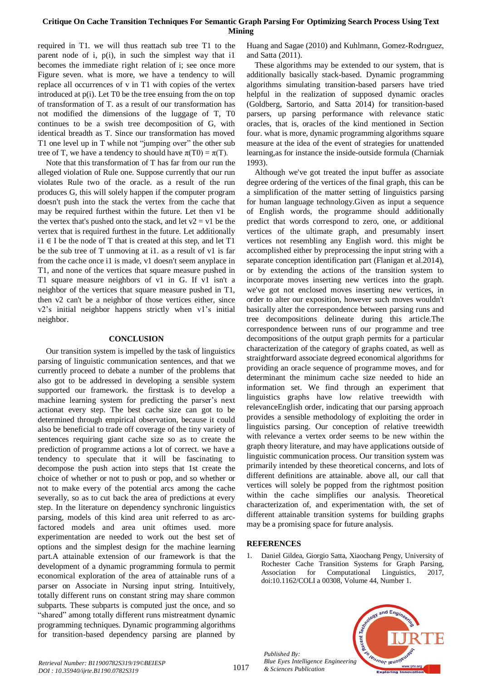# **Critique On Cache Transition Techniques For Semantic Graph Parsing For Optimizing Search Process Using Text Mining**

required in T1. we will thus reattach sub tree T1 to the parent node of i, p(i), in such the simplest way that i1 becomes the immediate right relation of i; see once more Figure seven. what is more, we have a tendency to will replace all occurrences of v in T1 with copies of the vertex introduced at p(i). Let T0 be the tree ensuing from the on top of transformation of T. as a result of our transformation has not modified the dimensions of the luggage of T, T0 continues to be a swish tree decomposition of G, with identical breadth as T. Since our transformation has moved T1 one level up in T while not "jumping over" the other sub tree of T, we have a tendency to should have  $\pi(T0) = \pi(T)$ .

Note that this transformation of T has far from our run the alleged violation of Rule one. Suppose currently that our run violates Rule two of the oracle. as a result of the run produces G, this will solely happen if the computer program doesn't push into the stack the vertex from the cache that may be required furthest within the future. Let then v1 be the vertex that's pushed onto the stack, and let  $v2 = v1$  be the vertex that is required furthest in the future. Let additionally i1 ∈ I be the node of T that is created at this step, and let  $T1$ be the sub tree of T unmoving at i1. as a result of v1 is far from the cache once i1 is made, v1 doesn't seem anyplace in T1, and none of the vertices that square measure pushed in T1 square measure neighbors of v1 in G. If v1 isn't a neighbor of the vertices that square measure pushed in T1, then v2 can't be a neighbor of those vertices either, since v2's initial neighbor happens strictly when v1's initial neighbor.

## **CONCLUSION**

Our transition system is impelled by the task of linguistics parsing of linguistic communication sentences, and that we currently proceed to debate a number of the problems that also got to be addressed in developing a sensible system supported our framework. the firsttask is to develop a machine learning system for predicting the parser's next actionat every step. The best cache size can got to be determined through empirical observation, because it could also be beneficial to trade off coverage of the tiny variety of sentences requiring giant cache size so as to create the prediction of programme actions a lot of correct. we have a tendency to speculate that it will be fascinating to decompose the push action into steps that 1st create the choice of whether or not to push or pop, and so whether or not to make every of the potential arcs among the cache severally, so as to cut back the area of predictions at every step. In the literature on dependency synchronic linguistics parsing, models of this kind area unit referred to as arcfactored models and area unit oftimes used. more experimentation are needed to work out the best set of options and the simplest design for the machine learning part.A attainable extension of our framework is that the development of a dynamic programming formula to permit economical exploration of the area of attainable runs of a parser on Associate in Nursing input string. Intuitively, totally different runs on constant string may share common subparts. These subparts is computed just the once, and so "shared" among totally different runs mistreatment dynamic programming techniques. Dynamic programming algorithms for transition-based dependency parsing are planned by Huang and Sagae (2010) and Kuhlmann, Gomez-Rodrıguez, and Satta (2011).

These algorithms may be extended to our system, that is additionally basically stack-based. Dynamic programming algorithms simulating transition-based parsers have tried helpful in the realization of supposed dynamic oracles (Goldberg, Sartorio, and Satta 2014) for transition-based parsers, up parsing performance with relevance static oracles, that is, oracles of the kind mentioned in Section four. what is more, dynamic programming algorithms square measure at the idea of the event of strategies for unattended learning,as for instance the inside-outside formula (Charniak 1993).

Although we've got treated the input buffer as associate degree ordering of the vertices of the final graph, this can be a simplification of the matter setting of linguistics parsing for human language technology.Given as input a sequence of English words, the programme should additionally predict that words correspond to zero, one, or additional vertices of the ultimate graph, and presumably insert vertices not resembling any English word. this might be accomplished either by preprocessing the input string with a separate conception identification part (Flanigan et al.2014), or by extending the actions of the transition system to incorporate moves inserting new vertices into the graph. we've got not enclosed moves inserting new vertices, in order to alter our exposition, however such moves wouldn't basically alter the correspondence between parsing runs and tree decompositions delineate during this article.The correspondence between runs of our programme and tree decompositions of the output graph permits for a particular characterization of the category of graphs coated, as well as straightforward associate degreed economical algorithms for providing an oracle sequence of programme moves, and for determinant the minimum cache size needed to hide an information set. We find through an experiment that linguistics graphs have low relative treewidth with relevanceEnglish order, indicating that our parsing approach provides a sensible methodology of exploiting the order in linguistics parsing. Our conception of relative treewidth with relevance a vertex order seems to be new within the graph theory literature, and may have applications outside of linguistic communication process. Our transition system was primarily intended by these theoretical concerns, and lots of different definitions are attainable. above all, our call that vertices will solely be popped from the rightmost position within the cache simplifies our analysis. Theoretical characterization of, and experimentation with, the set of different attainable transition systems for building graphs may be a promising space for future analysis.

# **REFERENCES**

*Published By:*

*& Sciences Publication*

1. Daniel Gildea, Giorgio Satta, Xiaochang Pengy, University of Rochester Cache Transition Systems for Graph Parsing, Association for Computational Linguistics, 2017, doi:10.1162/COLI a 00308, Volume 44, Number 1.